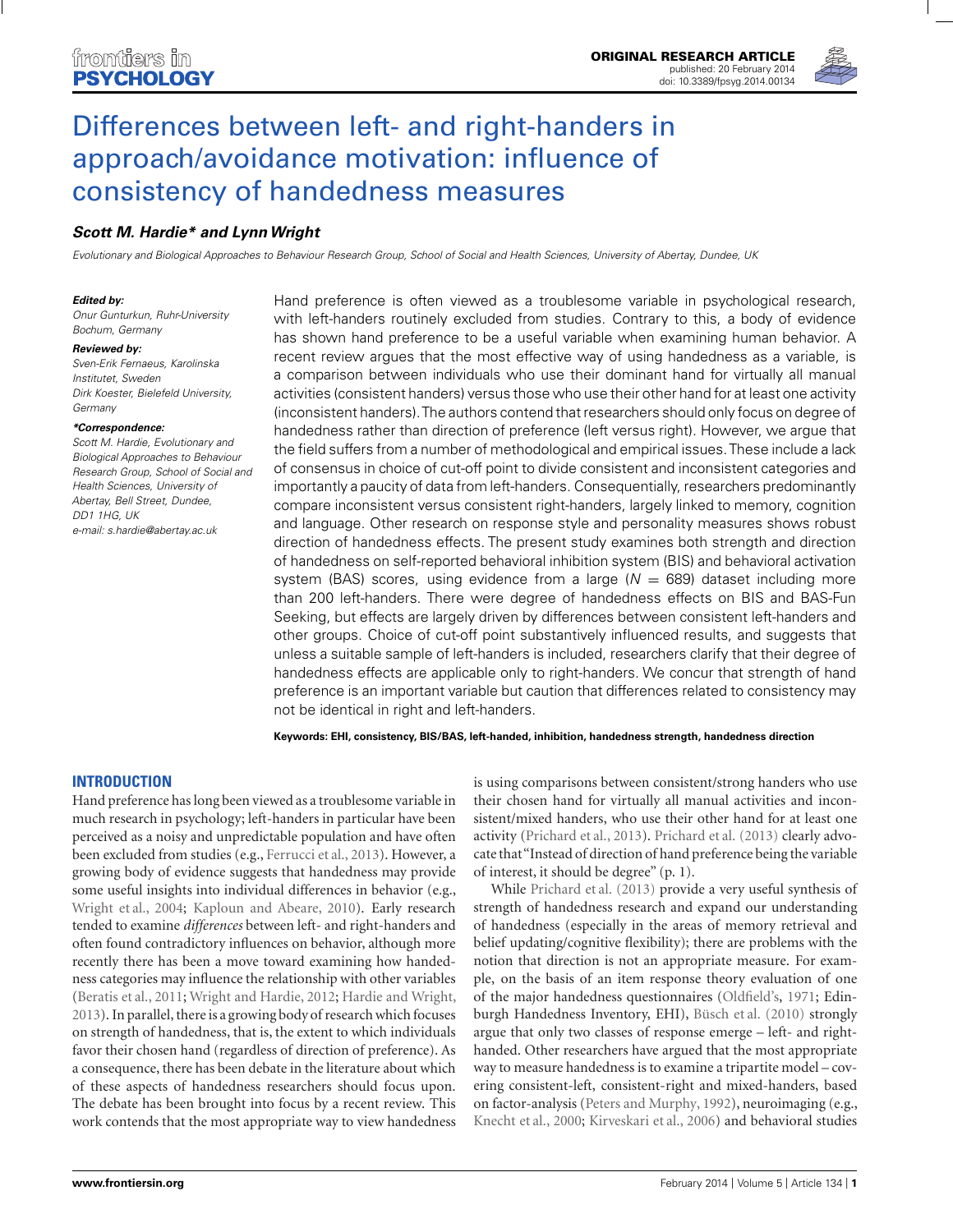

# [Differences between left- and right-handers in](http://www.frontiersin.org/journal/10.3389/fpsyg.2014.00134/abstract) approach/avoidance motivation: influence of consistency of handedness measures

# *[Scott M. Hardie\\*](http://www.frontiersin.org/people/u/84351) and [LynnWright](http://www.frontiersin.org/people/u/86767)*

Evolutionary and Biological Approaches to Behaviour Research Group, School of Social and Health Sciences, University of Abertay, Dundee, UK

#### *Edited by:*

Onur Gunturkun, Ruhr-University Bochum, Germany

#### *Reviewed by:*

Sven-Erik Fernaeus, Karolinska Institutet, Sweden Dirk Koester, Bielefeld University, Germany

#### *\*Correspondence:*

Scott M. Hardie, Evolutionary and Biological Approaches to Behaviour Research Group, School of Social and Health Sciences, University of Abertay, Bell Street, Dundee, DD1 1HG, UK e-mail: [s.hardie@abertay.ac.uk](mailto:s.hardie@abertay.ac.uk)

Hand preference is often viewed as a troublesome variable in psychological research, with left-handers routinely excluded from studies. Contrary to this, a body of evidence has shown hand preference to be a useful variable when examining human behavior. A recent review argues that the most effective way of using handedness as a variable, is a comparison between individuals who use their dominant hand for virtually all manual activities (consistent handers) versus those who use their other hand for at least one activity (inconsistent handers).The authors contend that researchers should only focus on degree of handedness rather than direction of preference (left versus right). However, we argue that the field suffers from a number of methodological and empirical issues.These include a lack of consensus in choice of cut-off point to divide consistent and inconsistent categories and importantly a paucity of data from left-handers. Consequentially, researchers predominantly compare inconsistent versus consistent right-handers, largely linked to memory, cognition and language. Other research on response style and personality measures shows robust direction of handedness effects. The present study examines both strength and direction of handedness on self-reported behavioral inhibition system (BIS) and behavioral activation system (BAS) scores, using evidence from a large ( $N = 689$ ) dataset including more than 200 left-handers. There were degree of handedness effects on BIS and BAS-Fun Seeking, but effects are largely driven by differences between consistent left-handers and other groups. Choice of cut-off point substantively influenced results, and suggests that unless a suitable sample of left-handers is included, researchers clarify that their degree of handedness effects are applicable only to right-handers. We concur that strength of hand preference is an important variable but caution that differences related to consistency may not be identical in right and left-handers.

**Keywords: EHI, consistency, BIS/BAS, left-handed, inhibition, handedness strength, handedness direction**

# **INTRODUCTION**

Hand preference has long been viewed as a troublesome variable in much research in psychology; left-handers in particular have been perceived as a noisy and unpredictable population and have often been excluded from studies (e.g., [Ferrucci et al., 2013\)](#page-8-0). However, a growing body of evidence suggests that handedness may provide some useful insights into individual differences in behavior (e.g., [Wright et al., 2004;](#page-9-0) [Kaploun and Abeare, 2010\)](#page-8-0). Early research tended to examine *differences* between left- and right-handers and often found contradictory influences on behavior, although more recently there has been a move toward examining how handedness categories may influence the relationship with other variables [\(Beratis et al.](#page-7-0), [2011;](#page-7-0) [Wright and Hardie](#page-9-0), [2012](#page-9-0); [Hardie and Wright,](#page-8-0) [2013\)](#page-8-0). In parallel, there is a growing body of research which focuses on strength of handedness, that is, the extent to which individuals favor their chosen hand (regardless of direction of preference). As a consequence, there has been debate in the literature about which of these aspects of handedness researchers should focus upon. The debate has been brought into focus by a recent review. This work contends that the most appropriate way to view handedness is using comparisons between consistent/strong handers who use their chosen hand for virtually all manual activities and inconsistent/mixed handers, who use their other hand for at least one activity [\(Prichard et al.](#page-9-0), [2013\)](#page-9-0). [Prichard et al.](#page-9-0) [\(2013\)](#page-9-0) clearly advocate that"Instead of direction of hand preference being the variable of interest, it should be degree" (p. 1).

While [Prichard et al.](#page-9-0) [\(2013\)](#page-9-0) provide a very useful synthesis of strength of handedness research and expand our understanding of handedness (especially in the areas of memory retrieval and belief updating/cognitive flexibility); there are problems with the notion that direction is not an appropriate measure. For example, on the basis of an item response theory evaluation of one of the major handedness questionnaires [\(Oldfield](#page-9-0)'s, [1971](#page-9-0); Edinburgh Handedness Inventory, EHI), [Büsch et al.](#page-7-0) [\(2010\)](#page-7-0) strongly argue that only two classes of response emerge – left- and righthanded. Other researchers have argued that the most appropriate way to measure handedness is to examine a tripartite model – covering consistent-left, consistent-right and mixed-handers, based on factor-analysis [\(Peters and Murphy, 1992\)](#page-9-0), neuroimaging (e.g., [Knecht et al.](#page-8-0), [2000;](#page-8-0) [Kirveskari et al.](#page-8-0), [2006\)](#page-8-0) and behavioral studies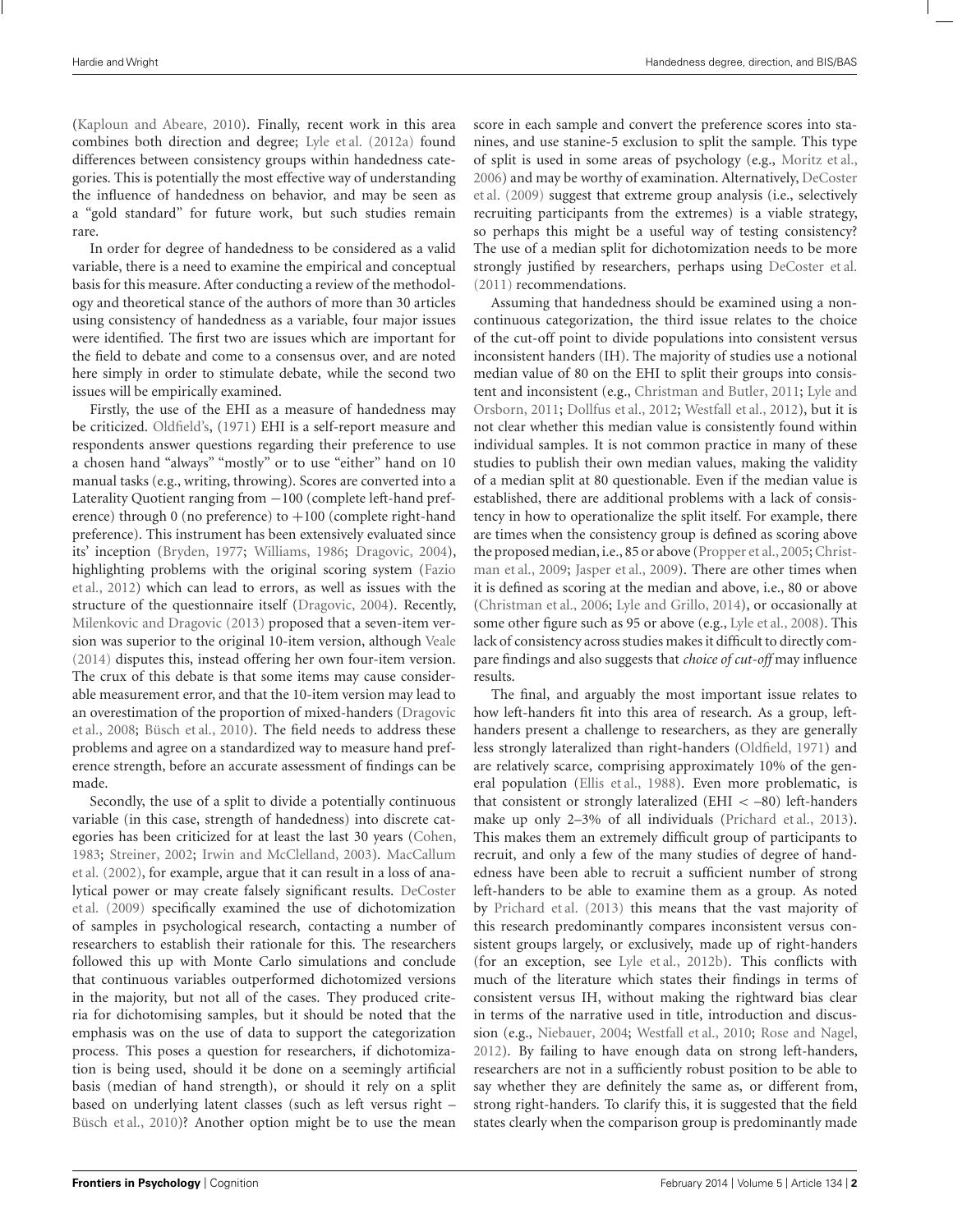[\(Kaploun and Abeare, 2010\)](#page-8-0). Finally, recent work in this area combines both direction and degree; [Lyle et al.](#page-8-0) [\(2012a\)](#page-8-0) found differences between consistency groups within handedness categories. This is potentially the most effective way of understanding the influence of handedness on behavior, and may be seen as a "gold standard" for future work, but such studies remain rare.

In order for degree of handedness to be considered as a valid variable, there is a need to examine the empirical and conceptual basis for this measure. After conducting a review of the methodology and theoretical stance of the authors of more than 30 articles using consistency of handedness as a variable, four major issues were identified. The first two are issues which are important for the field to debate and come to a consensus over, and are noted here simply in order to stimulate debate, while the second two issues will be empirically examined.

Firstly, the use of the EHI as a measure of handedness may be criticized. [Oldfield](#page-9-0)'s, [\(1971](#page-9-0)) EHI is a self-report measure and respondents answer questions regarding their preference to use a chosen hand "always" "mostly" or to use "either" hand on 10 manual tasks (e.g., writing, throwing). Scores are converted into a Laterality Quotient ranging from −100 (complete left-hand preference) through 0 (no preference) to  $+100$  (complete right-hand preference). This instrument has been extensively evaluated since its' inception [\(Bryden](#page-7-0), [1977](#page-7-0); [Williams](#page-9-0), [1986](#page-9-0); [Dragovic](#page-8-0), [2004](#page-8-0)), high[lighting problems with the original scoring system \(](#page-8-0)Fazio et al., [2012](#page-8-0)) which can lead to errors, as well as issues with the structure of the questionnaire itself [\(Dragovic](#page-8-0), [2004\)](#page-8-0). Recently, [Milenkovic and Dragovic](#page-8-0) [\(2013\)](#page-8-0) proposed that a seven-item version was superior to the original 10-item version, although [Veale](#page-9-0) [\(2014](#page-9-0)) disputes this, instead offering her own four-item version. The crux of this debate is that some items may cause considerable measurement error, and that the 10-item version may lead to an o[verestimation of the proportion of mixed-handers \(](#page-8-0)Dragovic et al., [2008;](#page-8-0) [Büsch et al.](#page-7-0), [2010\)](#page-7-0). The field needs to address these problems and agree on a standardized way to measure hand preference strength, before an accurate assessment of findings can be made.

Secondly, the use of a split to divide a potentially continuous variable (in this case, strength of handedness) into discrete categories has been criticized for at least the last 30 years [\(Cohen,](#page-8-0) [1983;](#page-8-0) [Streiner](#page-9-0), [2002;](#page-9-0) [Irwin and McClelland, 2003\).](#page-8-0) MacCallum et al. [\(2002\)](#page-8-0), for example, argue that it can result in a loss of analytic[al](#page-8-0) [power](#page-8-0) [or](#page-8-0) [may](#page-8-0) [create](#page-8-0) [falsely](#page-8-0) [significant](#page-8-0) [results.](#page-8-0) DeCoster et al. [\(2009\)](#page-8-0) specifically examined the use of dichotomization of samples in psychological research, contacting a number of researchers to establish their rationale for this. The researchers followed this up with Monte Carlo simulations and conclude that continuous variables outperformed dichotomized versions in the majority, but not all of the cases. They produced criteria for dichotomising samples, but it should be noted that the emphasis was on the use of data to support the categorization process. This poses a question for researchers, if dichotomization is being used, should it be done on a seemingly artificial basis (median of hand strength), or should it rely on a split based on underlying latent classes (such as left versus right – [Büsch et al.](#page-7-0), [2010](#page-7-0))? Another option might be to use the mean score in each sample and convert the preference scores into stanines, and use stanine-5 exclusion to split the sample. This type of split is used in some areas of psychology (e.g., [Moritz et al.,](#page-9-0) [2006](#page-9-0)[\) and may be worthy of examination. Alternatively,](#page-8-0) DeCoster et al. [\(2009](#page-8-0)) suggest that extreme group analysis (i.e., selectively recruiting participants from the extremes) is a viable strategy, so perhaps this might be a useful way of testing consistency? The use of a median split for dichotomization needs to be more strongly justified by researchers, perhaps using [DeCoster et al.](#page-8-0) [\(2011\)](#page-8-0) recommendations.

Assuming that handedness should be examined using a noncontinuous categorization, the third issue relates to the choice of the cut-off point to divide populations into consistent versus inconsistent handers (IH). The majority of studies use a notional median value of 80 on the EHI to split their groups into consistent and inconsistent (e.g., [Christman and Butler](#page-7-0)[,](#page-8-0) [2011](#page-7-0)[;](#page-8-0) Lyle and Orsborn, [2011](#page-8-0); [Dollfus et al.](#page-8-0), [2012](#page-8-0); [Westfall et al.](#page-9-0), [2012\)](#page-9-0), but it is not clear whether this median value is consistently found within individual samples. It is not common practice in many of these studies to publish their own median values, making the validity of a median split at 80 questionable. Even if the median value is established, there are additional problems with a lack of consistency in how to operationalize the split itself. For example, there are times when the consistency group is defined as scoring above the propo[sed median, i.e., 85 or above](#page-8-0) [\(Propper et al.](#page-9-0)[,](#page-8-0) [2005](#page-9-0)[;](#page-8-0) Christman et al., [2009](#page-8-0); [Jasper et al., 2009\)](#page-8-0). There are other times when it is defined as scoring at the median and above, i.e., 80 or above [\(Christman et al.](#page-7-0), [2006](#page-7-0); [Lyle and Grillo](#page-8-0), [2014](#page-8-0)), or occasionally at some other figure such as 95 or above (e.g., [Lyle et al., 2008](#page-8-0)). This lack of consistency across studies makes it difficult to directly compare findings and also suggests that *choice of cut-off* may influence results.

The final, and arguably the most important issue relates to how left-handers fit into this area of research. As a group, lefthanders present a challenge to researchers, as they are generally less strongly lateralized than right-handers [\(Oldfield, 1971\)](#page-9-0) and are relatively scarce, comprising approximately 10% of the general population [\(Ellis et al., 1988](#page-8-0)). Even more problematic, is that consistent or strongly lateralized (EHI  $< -80$ ) left-handers make up only 2–3% of all individuals [\(Prichard et al., 2013](#page-9-0)). This makes them an extremely difficult group of participants to recruit, and only a few of the many studies of degree of handedness have been able to recruit a sufficient number of strong left-handers to be able to examine them as a group. As noted by [Prichard et al.](#page-9-0) [\(2013\)](#page-9-0) this means that the vast majority of this research predominantly compares inconsistent versus consistent groups largely, or exclusively, made up of right-handers (for an exception, see [Lyle et al., 2012b](#page-8-0)). This conflicts with much of the literature which states their findings in terms of consistent versus IH, without making the rightward bias clear in terms of the narrative used in title, introduction and discussion (e.g., [Niebauer](#page-9-0), [2004;](#page-9-0) [Westfall et al., 2010](#page-9-0); [Rose and Nagel,](#page-9-0) [2012](#page-9-0)). By failing to have enough data on strong left-handers, researchers are not in a sufficiently robust position to be able to say whether they are definitely the same as, or different from, strong right-handers. To clarify this, it is suggested that the field states clearly when the comparison group is predominantly made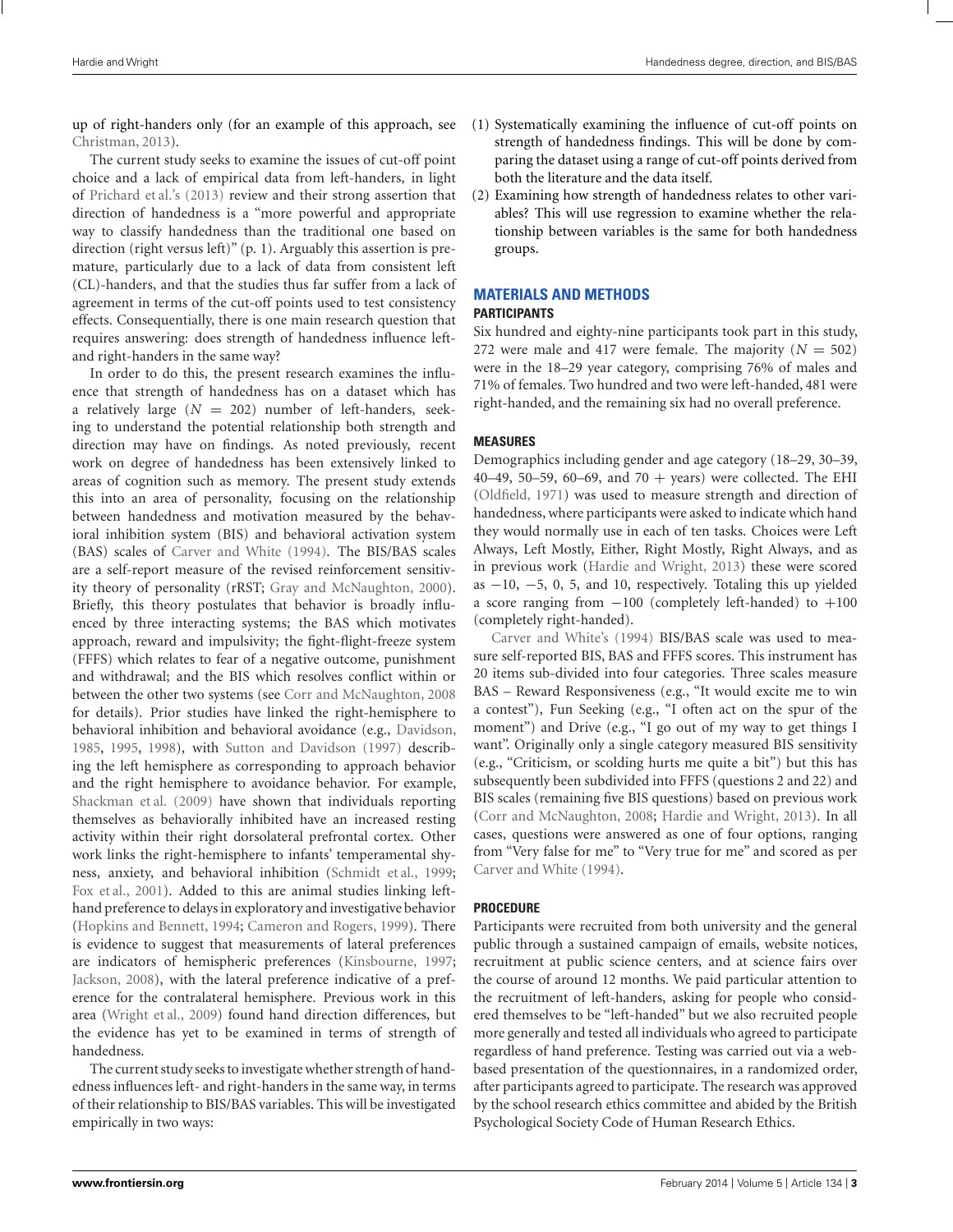up of right-handers only (for an example of this approach, see [Christman](#page-7-0), [2013](#page-7-0)).

The current study seeks to examine the issues of cut-off point choice and a lack of empirical data from left-handers, in light of [Prichard et al.'](#page-9-0)s [\(2013\)](#page-9-0) review and their strong assertion that direction of handedness is a "more powerful and appropriate way to classify handedness than the traditional one based on direction (right versus left)" (p. 1). Arguably this assertion is premature, particularly due to a lack of data from consistent left (CL)-handers, and that the studies thus far suffer from a lack of agreement in terms of the cut-off points used to test consistency effects. Consequentially, there is one main research question that requires answering: does strength of handedness influence leftand right-handers in the same way?

In order to do this, the present research examines the influence that strength of handedness has on a dataset which has a relatively large  $(N = 202)$  number of left-handers, seeking to understand the potential relationship both strength and direction may have on findings. As noted previously, recent work on degree of handedness has been extensively linked to areas of cognition such as memory. The present study extends this into an area of personality, focusing on the relationship between handedness and motivation measured by the behavioral inhibition system (BIS) and behavioral activation system (BAS) scales of [Carver and White](#page-7-0) [\(1994](#page-7-0)). The BIS/BAS scales are a self-report measure of the revised reinforcement sensitivity theory of personality (rRST; [Gray and McNaughton, 2000](#page-8-0)). Briefly, this theory postulates that behavior is broadly influenced by three interacting systems; the BAS which motivates approach, reward and impulsivity; the fight-flight-freeze system (FFFS) which relates to fear of a negative outcome, punishment and withdrawal; and the BIS which resolves conflict within or between the other two systems (see [Corr and McNaughton](#page-8-0), [2008](#page-8-0) for details). Prior studies have linked the right-hemisphere to behavioral inhibition and behavioral avoidance (e.g., [Davidson,](#page-8-0) [1985,](#page-8-0) [1995,](#page-8-0) [1998](#page-8-0)), with [Sutton and Davidson](#page-9-0) [\(1997\)](#page-9-0) describing the left hemisphere as corresponding to approach behavior and the right hemisphere to avoidance behavior. For example, [Shackman et al.](#page-9-0) [\(2009](#page-9-0)) have shown that individuals reporting themselves as behaviorally inhibited have an increased resting activity within their right dorsolateral prefrontal cortex. Other work links the right-hemisphere to infants' temperamental shyness, anxiety, and behavioral inhibition [\(Schmidt et al.](#page-9-0), [1999;](#page-9-0) [Fox et al.](#page-8-0), [2001\)](#page-8-0). Added to this are animal studies linking lefthand preference to delays in exploratory and investigative behavior [\(Hopkins and Bennett, 1994](#page-8-0); [Cameron and Rogers, 1999](#page-7-0)). There is evidence to suggest that measurements of lateral preferences are indicators of hemispheric preferences [\(Kinsbourne, 1997;](#page-8-0) [Jackson](#page-8-0), [2008](#page-8-0)), with the lateral preference indicative of a preference for the contralateral hemisphere. Previous work in this area [\(Wright et al.](#page-9-0), [2009\)](#page-9-0) found hand direction differences, but the evidence has yet to be examined in terms of strength of handedness.

The current study seeks to investigate whether strength of handedness influences left- and right-handers in the same way, in terms of their relationship to BIS/BAS variables. This will be investigated empirically in two ways:

- (1) Systematically examining the influence of cut-off points on strength of handedness findings. This will be done by comparing the dataset using a range of cut-off points derived from both the literature and the data itself.
- (2) Examining how strength of handedness relates to other variables? This will use regression to examine whether the relationship between variables is the same for both handedness groups.

# **MATERIALS AND METHODS**

# **PARTICIPANTS**

Six hundred and eighty-nine participants took part in this study, 272 were male and 417 were female. The majority  $(N = 502)$ were in the 18–29 year category, comprising 76% of males and 71% of females. Two hundred and two were left-handed, 481 were right-handed, and the remaining six had no overall preference.

#### **MEASURES**

Demographics including gender and age category (18–29, 30–39, 40–49, 50–59, 60–69, and 70 + years) were collected. The EHI [\(Oldfield, 1971](#page-9-0)) was used to measure strength and direction of handedness, where participants were asked to indicate which hand they would normally use in each of ten tasks. Choices were Left Always, Left Mostly, Either, Right Mostly, Right Always, and as in previous work [\(Hardie and Wright, 2013\)](#page-8-0) these were scored as  $-10$ ,  $-5$ , 0, 5, and 10, respectively. Totaling this up yielded a score ranging from −100 (completely left-handed) to +100 [\(completely](#page-7-0) [right-han](#page-7-0)ded).

Carver and White's [\(1994\)](#page-7-0) BIS/BAS scale was used to measure self-reported BIS, BAS and FFFS scores. This instrument has 20 items sub-divided into four categories. Three scales measure BAS – Reward Responsiveness (e.g., "It would excite me to win a contest"), Fun Seeking (e.g., "I often act on the spur of the moment") and Drive (e.g., "I go out of my way to get things I want". Originally only a single category measured BIS sensitivity (e.g., "Criticism, or scolding hurts me quite a bit") but this has subsequently been subdivided into FFFS (questions 2 and 22) and BIS scales (remaining five BIS questions) based on previous work [\(Corr and McNaughton, 2008;](#page-8-0) [Hardie and Wright](#page-8-0), [2013](#page-8-0)). In all cases, questions were answered as one of four options, ranging from "Very false for me" to "Very true for me" and scored as per [Carver and White](#page-7-0) [\(1994](#page-7-0)).

### **PROCEDURE**

Participants were recruited from both university and the general public through a sustained campaign of emails, website notices, recruitment at public science centers, and at science fairs over the course of around 12 months. We paid particular attention to the recruitment of left-handers, asking for people who considered themselves to be "left-handed" but we also recruited people more generally and tested all individuals who agreed to participate regardless of hand preference. Testing was carried out via a webbased presentation of the questionnaires, in a randomized order, after participants agreed to participate. The research was approved by the school research ethics committee and abided by the British Psychological Society Code of Human Research Ethics.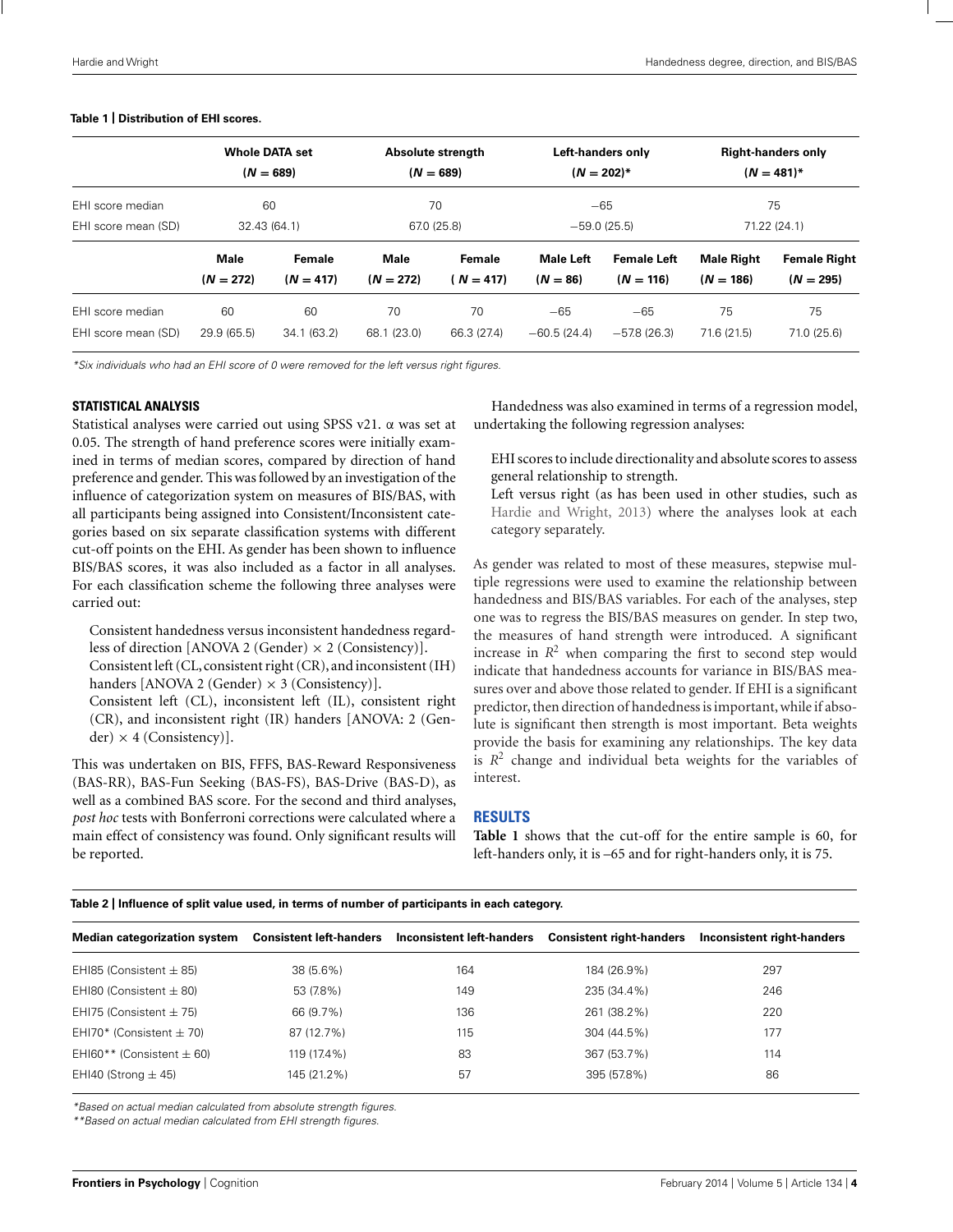#### <span id="page-3-0"></span>**Table 1 | Distribution of EHI scores.**

|                                         | <b>Whole DATA set</b><br>$(N = 689)$<br>60<br>32.43 (64.1) |                       | Absolute strength<br>$(N = 689)$<br>70<br>67.0 (25.8) |                     | Left-handers only<br>$(N = 202)^*$<br>$-65$<br>$-59.0(25.5)$ |                                   | <b>Right-handers only</b><br>$(N = 481)^*$<br>75<br>71.22 (24.1) |                                    |
|-----------------------------------------|------------------------------------------------------------|-----------------------|-------------------------------------------------------|---------------------|--------------------------------------------------------------|-----------------------------------|------------------------------------------------------------------|------------------------------------|
| EHI score median<br>EHI score mean (SD) |                                                            |                       |                                                       |                     |                                                              |                                   |                                                                  |                                    |
|                                         | <b>Male</b><br>$(N = 272)$                                 | Female<br>$(N = 417)$ | Male<br>$(N = 272)$                                   | Female<br>$N = 417$ | Male Left<br>$(N = 86)$                                      | <b>Female Left</b><br>$(N = 116)$ | <b>Male Right</b><br>$(N = 186)$                                 | <b>Female Right</b><br>$(N = 295)$ |
| EHI score median<br>EHI score mean (SD) | 60<br>29.9 (65.5)                                          | 60<br>34.1(63.2)      | 70<br>68.1 (23.0)                                     | 70<br>66.3 (27.4)   | $-65$<br>$-60.5(24.4)$                                       | $-65$<br>$-57.8(26.3)$            | 75<br>71.6 (21.5)                                                | 75<br>71.0 (25.6)                  |

\*Six individuals who had an EHI score of 0 were removed for the left versus right figures.

#### **STATISTICAL ANALYSIS**

Statistical analyses were carried out using SPSS v21. α was set at 0.05. The strength of hand preference scores were initially examined in terms of median scores, compared by direction of hand preference and gender. This was followed by an investigation of the influence of categorization system on measures of BIS/BAS, with all participants being assigned into Consistent/Inconsistent categories based on six separate classification systems with different cut-off points on the EHI. As gender has been shown to influence BIS/BAS scores, it was also included as a factor in all analyses. For each classification scheme the following three analyses were carried out:

Consistent handedness versus inconsistent handedness regardless of direction [ANOVA 2 (Gender) × 2 (Consistency)].

Consistent left (CL, consistent right (CR), and inconsistent (IH) handers [ANOVA 2 (Gender)  $\times$  3 (Consistency)].

Consistent left (CL), inconsistent left (IL), consistent right (CR), and inconsistent right (IR) handers [ANOVA: 2 (Gender)  $\times$  4 (Consistency)].

This was undertaken on BIS, FFFS, BAS-Reward Responsiveness (BAS-RR), BAS-Fun Seeking (BAS-FS), BAS-Drive (BAS-D), as well as a combined BAS score. For the second and third analyses, *post hoc* tests with Bonferroni corrections were calculated where a main effect of consistency was found. Only significant results will be reported.

Handedness was also examined in terms of a regression model, undertaking the following regression analyses:

EHI scores to include directionality and absolute scores to assess general relationship to strength.

Left versus right (as has been used in other studies, such as [Hardie and Wright, 2013](#page-8-0)) where the analyses look at each category separately.

As gender was related to most of these measures, stepwise multiple regressions were used to examine the relationship between handedness and BIS/BAS variables. For each of the analyses, step one was to regress the BIS/BAS measures on gender. In step two, the measures of hand strength were introduced. A significant increase in  $R^2$  when comparing the first to second step would indicate that handedness accounts for variance in BIS/BAS measures over and above those related to gender. If EHI is a significant predictor, then direction of handedness is important, while if absolute is significant then strength is most important. Beta weights provide the basis for examining any relationships. The key data is  $R<sup>2</sup>$  change and individual beta weights for the variables of interest.

#### **RESULTS**

**Table 1** shows that the cut-off for the entire sample is 60, for left-handers only, it is –65 and for right-handers only, it is 75.

| Table 2   Influence of split value used, in terms of number of participants in each category. |  |
|-----------------------------------------------------------------------------------------------|--|
|-----------------------------------------------------------------------------------------------|--|

| <b>Median categorization system</b> | <b>Consistent left-handers</b> | Inconsistent left-handers | <b>Consistent right-handers</b> | Inconsistent right-handers |
|-------------------------------------|--------------------------------|---------------------------|---------------------------------|----------------------------|
| EHI85 (Consistent $\pm$ 85)         | 38 (5.6%)                      | 164                       | 184 (26.9%)                     | 297                        |
| EHI80 (Consistent $\pm$ 80)         | 53 (7.8%)                      | 149                       | 235 (34.4%)                     | 246                        |
| EHI75 (Consistent $\pm$ 75)         | 66 (9.7%)                      | 136                       | 261 (38.2%)                     | 220                        |
| EHI70* (Consistent $\pm$ 70)        | 87 (12.7%)                     | 115                       | 304 (44.5%)                     | 177                        |
| EHI60** (Consistent $\pm$ 60)       | 119 (17.4%)                    | 83                        | 367 (53.7%)                     | 114                        |
| EHI40 (Strong $\pm$ 45)             | 145 (21.2%)                    | 57                        | 395 (57.8%)                     | 86                         |
|                                     |                                |                           |                                 |                            |

\*Based on actual median calculated from absolute strength figures.

\*\*Based on actual median calculated from EHI strength figures.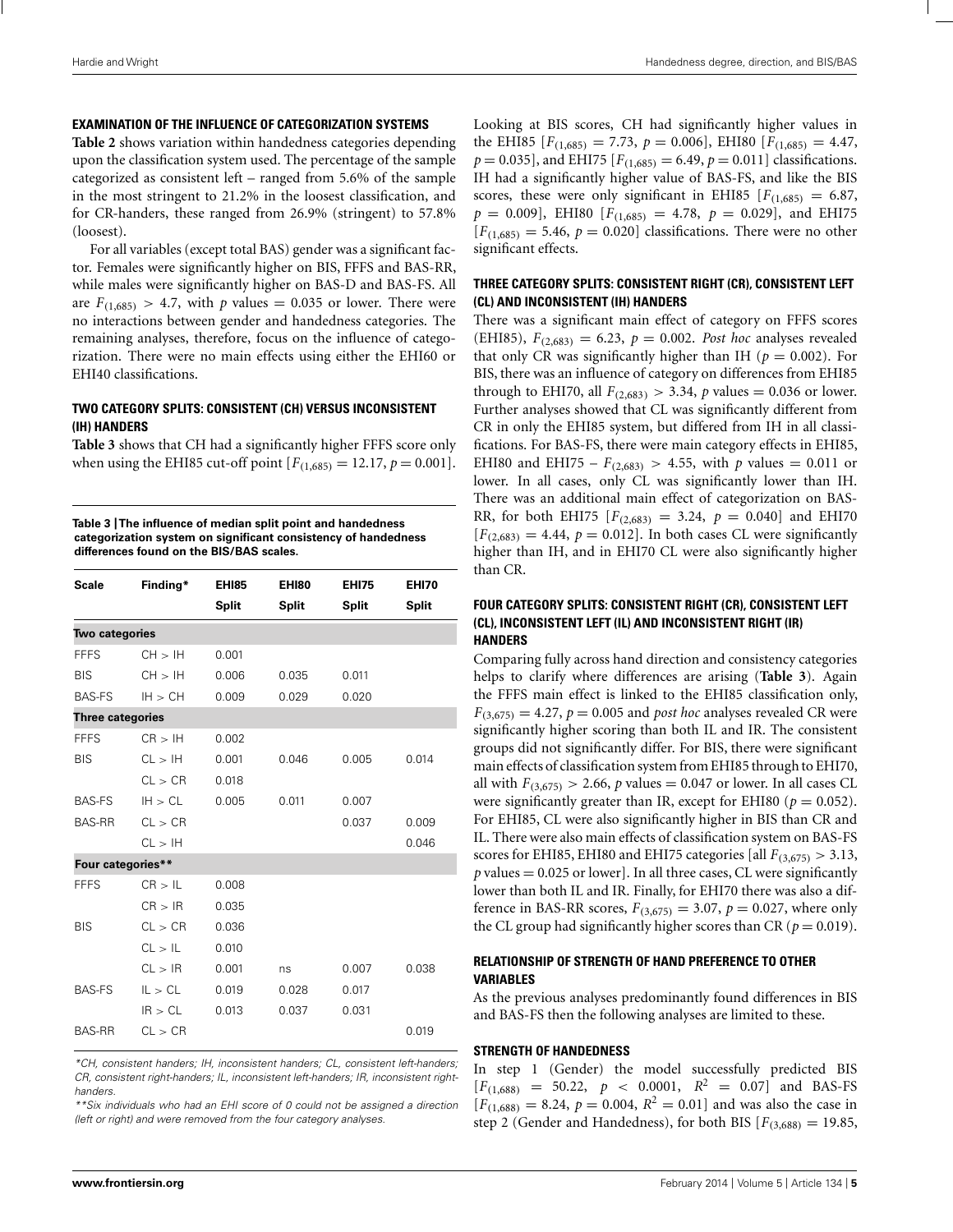#### **EXAMINATION OF THE INFLUENCE OF CATEGORIZATION SYSTEMS**

**[Table 2](#page-3-0)** shows variation within handedness categories depending upon the classification system used. The percentage of the sample categorized as consistent left – ranged from 5.6% of the sample in the most stringent to 21.2% in the loosest classification, and for CR-handers, these ranged from 26.9% (stringent) to 57.8% (loosest).

For all variables (except total BAS) gender was a significant factor. Females were significantly higher on BIS, FFFS and BAS-RR, while males were significantly higher on BAS-D and BAS-FS. All are  $F_{(1,685)} > 4.7$ , with *p* values = 0.035 or lower. There were no interactions between gender and handedness categories. The remaining analyses, therefore, focus on the influence of categorization. There were no main effects using either the EHI60 or EHI40 classifications.

#### **TWO CATEGORY SPLITS: CONSISTENT (CH) VERSUS INCONSISTENT (IH) HANDERS**

**Table 3** shows that CH had a significantly higher FFFS score only when using the EHI85 cut-off point  $[F_{(1,685)} = 12.17, p = 0.001]$ .

**Table 3 |The influence of median split point and handedness categorization system on significant consistency of handedness differences found on the BIS/BAS scales.**

| <b>Scale</b>            | Finding* | <b>EHI85</b><br><b>Split</b> | <b>EHI80</b><br><b>Split</b> | <b>EHI75</b><br><b>Split</b> | <b>EHI70</b><br><b>Split</b> |  |  |
|-------------------------|----------|------------------------------|------------------------------|------------------------------|------------------------------|--|--|
| Two categories          |          |                              |                              |                              |                              |  |  |
| <b>FFFS</b>             | CH > IH  | 0.001                        |                              |                              |                              |  |  |
| <b>BIS</b>              | CH > IH  | 0.006                        | 0.035                        | 0.011                        |                              |  |  |
| <b>BAS-FS</b>           | IH > CH  | 0.009                        | 0.029                        | 0.020                        |                              |  |  |
| <b>Three categories</b> |          |                              |                              |                              |                              |  |  |
| <b>FFFS</b>             | CR > IH  | 0.002                        |                              |                              |                              |  |  |
| <b>BIS</b>              | CL > IH  | 0.001                        | 0.046                        | 0.005                        | 0.014                        |  |  |
|                         | CL > CR  | 0.018                        |                              |                              |                              |  |  |
| <b>BAS-FS</b>           | IH > CL  | 0.005                        | 0.011                        | 0.007                        |                              |  |  |
| <b>BAS-RR</b>           | CL > CR  |                              |                              | 0.037                        | 0.009                        |  |  |
|                         | CL > IH  |                              |                              |                              | 0.046                        |  |  |
| Four categories**       |          |                              |                              |                              |                              |  |  |
| <b>FFFS</b>             | CR > IL  | 0.008                        |                              |                              |                              |  |  |
|                         | CR > IR  | 0.035                        |                              |                              |                              |  |  |
| <b>BIS</b>              | CL > CR  | 0.036                        |                              |                              |                              |  |  |
|                         | CL > IL  | 0.010                        |                              |                              |                              |  |  |
|                         | CL > IR  | 0.001                        | ns                           | 0.007                        | 0.038                        |  |  |
| <b>BAS-FS</b>           | IL > CL  | 0.019                        | 0.028                        | 0.017                        |                              |  |  |
|                         | IR > CL  | 0.013                        | 0.037                        | 0.031                        |                              |  |  |
| <b>BAS-RR</b>           | CL > CR  |                              |                              |                              | 0.019                        |  |  |

\*CH, consistent handers; IH, inconsistent handers; CL, consistent left-handers; CR, consistent right-handers; IL, inconsistent left-handers; IR, inconsistent righthanders.

\*\*Six individuals who had an EHI score of 0 could not be assigned a direction (left or right) and were removed from the four category analyses.

Looking at BIS scores, CH had significantly higher values in the EHI85  $[F_{(1,685)} = 7.73, p = 0.006]$ , EHI80  $[F_{(1,685)} = 4.47$ ,  $p = 0.035$ , and EHI75  $[F_{(1,685)} = 6.49, p = 0.011]$  classifications. IH had a significantly higher value of BAS-FS, and like the BIS scores, these were only significant in EHI85  $[F(1,685) = 6.87]$ ,  $p = 0.009$ , EHI80 [ $F_{(1,685)} = 4.78$ ,  $p = 0.029$ ], and EHI75  $[F(1,685) = 5.46, p = 0.020]$  classifications. There were no other significant effects.

#### **THREE CATEGORY SPLITS: CONSISTENT RIGHT (CR), CONSISTENT LEFT (CL) AND INCONSISTENT (IH) HANDERS**

There was a significant main effect of category on FFFS scores (EHI85),  $F_{(2,683)} = 6.23$ ,  $p = 0.002$ . *Post hoc* analyses revealed that only CR was significantly higher than IH ( $p = 0.002$ ). For BIS, there was an influence of category on differences from EHI85 through to EHI70, all  $F_{(2,683)} > 3.34$ , *p* values = 0.036 or lower. Further analyses showed that CL was significantly different from CR in only the EHI85 system, but differed from IH in all classifications. For BAS-FS, there were main category effects in EHI85, EHI80 and EHI75 –  $F_{(2,683)} > 4.55$ , with *p* values = 0.011 or lower. In all cases, only CL was significantly lower than IH. There was an additional main effect of categorization on BAS-RR, for both EHI75  $[F_{(2,683)} = 3.24, p = 0.040]$  and EHI70  $[F<sub>(2,683)</sub> = 4.44, p = 0.012]$ . In both cases CL were significantly higher than IH, and in EHI70 CL were also significantly higher than CR.

#### **FOUR CATEGORY SPLITS: CONSISTENT RIGHT (CR), CONSISTENT LEFT (CL), INCONSISTENT LEFT (IL) AND INCONSISTENT RIGHT (IR) HANDERS**

Comparing fully across hand direction and consistency categories helps to clarify where differences are arising (**Table 3**). Again the FFFS main effect is linked to the EHI85 classification only,  $F_{(3,675)} = 4.27$ ,  $p = 0.005$  and *post hoc* analyses revealed CR were significantly higher scoring than both IL and IR. The consistent groups did not significantly differ. For BIS, there were significant main effects of classification system from EHI85 through to EHI70, all with  $F_{(3,675)} > 2.66$ , *p* values = 0.047 or lower. In all cases CL were significantly greater than IR, except for EHI80 ( $p = 0.052$ ). For EHI85, CL were also significantly higher in BIS than CR and IL. There were also main effects of classification system on BAS-FS scores for EHI85, EHI80 and EHI75 categories [all  $F_{(3,675)} > 3.13$ ,  $p$  values  $= 0.025$  or lower]. In all three cases, CL were significantly lower than both IL and IR. Finally, for EHI70 there was also a difference in BAS-RR scores,  $F_{(3,675)} = 3.07$ ,  $p = 0.027$ , where only the CL group had significantly higher scores than CR ( $p = 0.019$ ).

# **RELATIONSHIP OF STRENGTH OF HAND PREFERENCE TO OTHER VARIABLES**

As the previous analyses predominantly found differences in BIS and BAS-FS then the following analyses are limited to these.

#### **STRENGTH OF HANDEDNESS**

In step 1 (Gender) the model successfully predicted BIS  $[F(1,688) = 50.22, p < 0.0001, R^2 = 0.07]$  and BAS-FS  $[F(1,688) = 8.24, p = 0.004, R^2 = 0.01]$  and was also the case in step 2 (Gender and Handedness), for both BIS  $[F_{(3,688)} = 19.85,$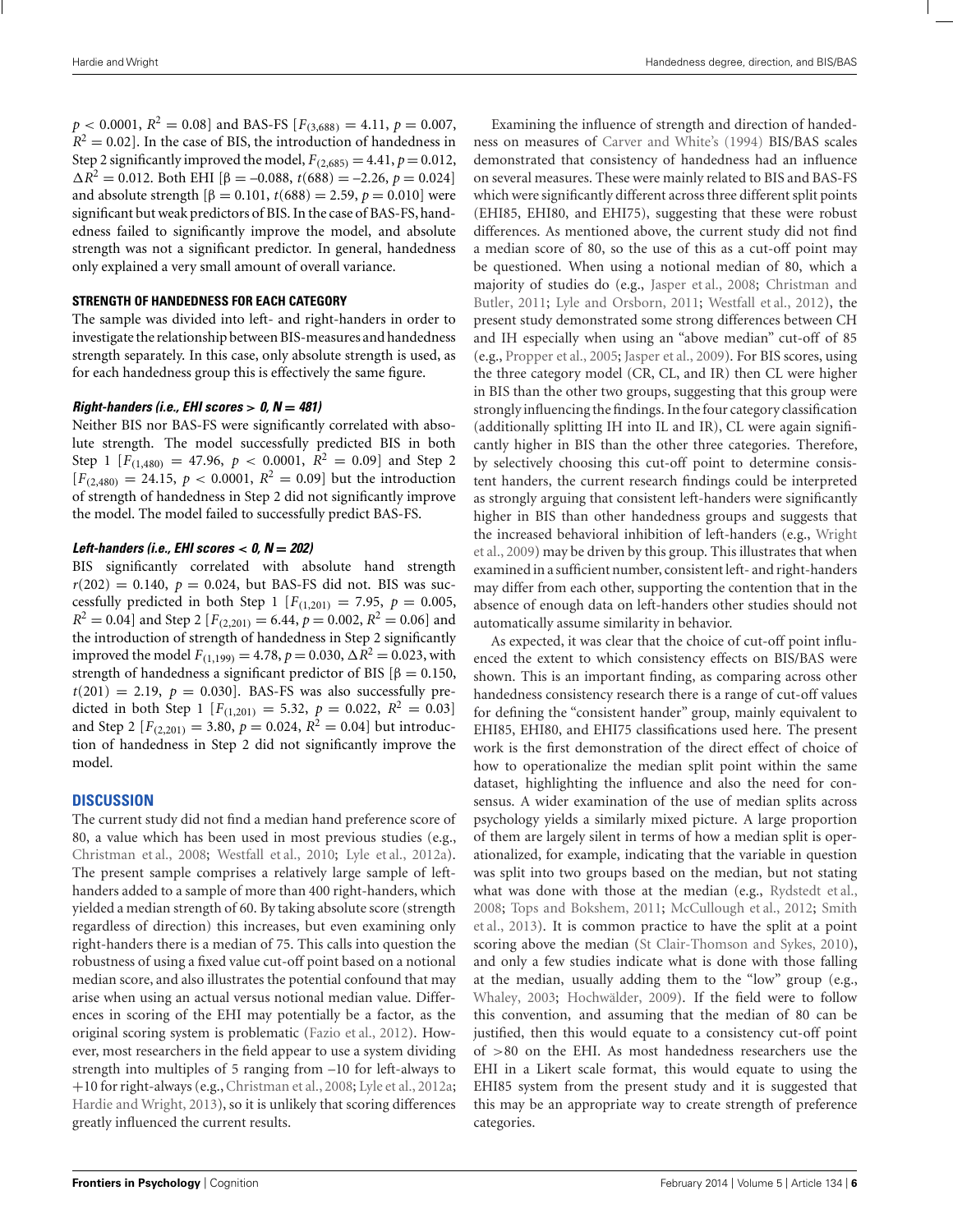$p < 0.0001$ ,  $R^2 = 0.08$ ] and BAS-FS  $[F_{(3,688)} = 4.11, p = 0.007$ ,  $R^2 = 0.02$ . In the case of BIS, the introduction of handedness in Step 2 significantly improved the model,  $F_{(2,685)} = 4.41$ ,  $p = 0.012$ ,  $\Delta R^2 = 0.012$ . Both EHI [ $\beta = -0.088$ ,  $t(688) = -2.26$ ,  $p = 0.024$ ] and absolute strength  $\beta = 0.101$ ,  $t(688) = 2.59$ ,  $p = 0.010$  were significant but weak predictors of BIS. In the case of BAS-FS, handedness failed to significantly improve the model, and absolute strength was not a significant predictor. In general, handedness only explained a very small amount of overall variance.

#### **STRENGTH OF HANDEDNESS FOR EACH CATEGORY**

The sample was divided into left- and right-handers in order to investigate the relationship between BIS-measures and handedness strength separately. In this case, only absolute strength is used, as for each handedness group this is effectively the same figure.

#### *Right-handers (i.e., EHI scores > 0, N* **=** *481)*

Neither BIS nor BAS-FS were significantly correlated with absolute strength. The model successfully predicted BIS in both Step 1  $[F_{(1,480)} = 47.96, p < 0.0001, R^2 = 0.09]$  and Step 2  $[F_{(2,480)} = 24.15, p < 0.0001, R^2 = 0.09]$  but the introduction of strength of handedness in Step 2 did not significantly improve the model. The model failed to successfully predict BAS-FS.

#### *Left-handers (i.e., EHI scores < 0, N* **=** *202)*

BIS significantly correlated with absolute hand strength  $r(202) = 0.140$ ,  $p = 0.024$ , but BAS-FS did not. BIS was successfully predicted in both Step 1  $[F_{(1,201)} = 7.95, p = 0.005,$  $R^2 = 0.04$  and Step 2  $[F_{(2,201)} = 6.44, p = 0.002, R^2 = 0.06]$  and the introduction of strength of handedness in Step 2 significantly improved the model  $F_{(1,199)} = 4.78$ ,  $p = 0.030$ ,  $\Delta R^2 = 0.023$ , with strength of handedness a significant predictor of BIS  $\beta = 0.150$ ,  $t(201) = 2.19$ ,  $p = 0.030$ ]. BAS-FS was also successfully predicted in both Step 1  $[F_{(1,201)} = 5.32, p = 0.022, R^2 = 0.03]$ and Step 2  $[F_{(2,201)} = 3.80, p = 0.024, R^2 = 0.04]$  but introduction of handedness in Step 2 did not significantly improve the model.

#### **DISCUSSION**

The current study did not find a median hand preference score of 80, a value which has been used in most previous studies (e.g., [Christman et al.](#page-7-0), [2008;](#page-7-0) [Westfall et al., 2010](#page-9-0); [Lyle et al., 2012a](#page-8-0)). The present sample comprises a relatively large sample of lefthanders added to a sample of more than 400 right-handers, which yielded a median strength of 60. By taking absolute score (strength regardless of direction) this increases, but even examining only right-handers there is a median of 75. This calls into question the robustness of using a fixed value cut-off point based on a notional median score, and also illustrates the potential confound that may arise when using an actual versus notional median value. Differences in scoring of the EHI may potentially be a factor, as the original scoring system is problematic [\(Fazio et al.](#page-8-0), [2012](#page-8-0)). However, most researchers in the field appear to use a system dividing strength into multiples of 5 ranging from –10 for left-always to +10 for right-always (e.g.,[Christman et al.](#page-7-0), [2008;](#page-7-0) [Lyle et al., 2012a;](#page-8-0) [Hardie and Wright](#page-8-0), [2013\)](#page-8-0), so it is unlikely that scoring differences greatly influenced the current results.

Examining the influence of strength and direction of handedness on measures of [Carver and White'](#page-7-0)s [\(1994](#page-7-0)) BIS/BAS scales demonstrated that consistency of handedness had an influence on several measures. These were mainly related to BIS and BAS-FS which were significantly different across three different split points (EHI85, EHI80, and EHI75), suggesting that these were robust differences. As mentioned above, the current study did not find a median score of 80, so the use of this as a cut-off point may be questioned. When using a notional median of 80, which a major[ity of studies do \(e.g.,](#page-7-0) [Jasper et al., 2008;](#page-8-0) Christman and Butler, [2011](#page-7-0); [Lyle and Orsborn, 2011](#page-8-0); [Westfall et al., 2012\)](#page-9-0), the present study demonstrated some strong differences between CH and IH especially when using an "above median" cut-off of 85 (e.g., [Propper et al., 2005;](#page-9-0) [Jasper et al.](#page-8-0), [2009\)](#page-8-0). For BIS scores, using the three category model (CR, CL, and IR) then CL were higher in BIS than the other two groups, suggesting that this group were strongly influencing the findings. In thefour category classification (additionally splitting IH into IL and IR), CL were again significantly higher in BIS than the other three categories. Therefore, by selectively choosing this cut-off point to determine consistent handers, the current research findings could be interpreted as strongly arguing that consistent left-handers were significantly higher in BIS than other handedness groups and suggests that the i[ncreased behavioral inhibition of left-handers \(e.g.,](#page-9-0) Wright et al., [2009\)](#page-9-0) may be driven by this group. This illustrates that when examined in a sufficient number, consistent left- and right-handers may differ from each other, supporting the contention that in the absence of enough data on left-handers other studies should not automatically assume similarity in behavior.

As expected, it was clear that the choice of cut-off point influenced the extent to which consistency effects on BIS/BAS were shown. This is an important finding, as comparing across other handedness consistency research there is a range of cut-off values for defining the "consistent hander" group, mainly equivalent to EHI85, EHI80, and EHI75 classifications used here. The present work is the first demonstration of the direct effect of choice of how to operationalize the median split point within the same dataset, highlighting the influence and also the need for consensus. A wider examination of the use of median splits across psychology yields a similarly mixed picture. A large proportion of them are largely silent in terms of how a median split is operationalized, for example, indicating that the variable in question was split into two groups based on the median, but not stating what was done with those at the median (e.g., [Rydstedt et al.,](#page-9-0) [2008](#page-9-0); [Tops and Bokshem, 2011;](#page-9-0) [McCullough et al.](#page-8-0), [2012](#page-8-0); Smith et al., [2013](#page-9-0)). It is common practice to have the split at a point scoring above the median [\(St Clair-Thomson and Sykes, 2010](#page-9-0)), and only a few studies indicate what is done with those falling at the median, usually adding them to the "low" group (e.g., [Whaley, 2003](#page-9-0); [Hochwälder](#page-8-0), [2009\)](#page-8-0). If the field were to follow this convention, and assuming that the median of 80 can be justified, then this would equate to a consistency cut-off point of >80 on the EHI. As most handedness researchers use the EHI in a Likert scale format, this would equate to using the EHI85 system from the present study and it is suggested that this may be an appropriate way to create strength of preference categories.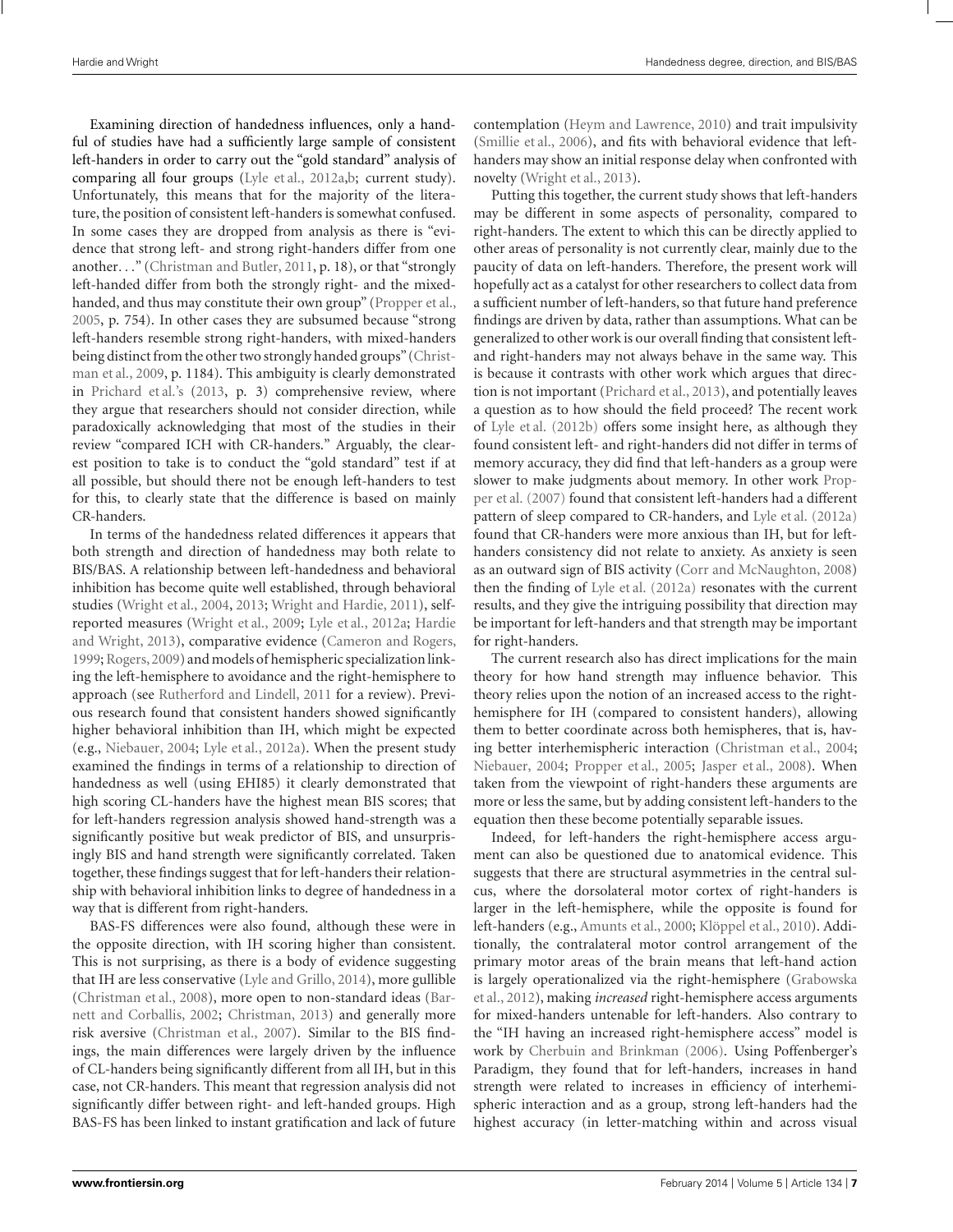Examining direction of handedness influences, only a handful of studies have had a sufficiently large sample of consistent left-handers in order to carry out the "gold standard" analysis of comparing all four groups [\(Lyle et al.](#page-8-0), [2012a,b](#page-8-0); current study). Unfortunately, this means that for the majority of the literature, the position of consistent left-handers is somewhat confused. In some cases they are dropped from analysis as there is "evidence that strong left- and strong right-handers differ from one another..." [\(Christman and Butler, 2011](#page-7-0), p. 18), or that "strongly left-handed differ from both the strongly right- and the mixedhanded, and thus may constitute their own group" [\(Propper et al.,](#page-9-0) [2005,](#page-9-0) p. 754). In other cases they are subsumed because "strong left-handers resemble strong right-handers, with mixed-handers being dist[inct from the other two strongly handed groups" \(](#page-8-0)Christman et al., [2009,](#page-8-0) p. 1184). This ambiguity is clearly demonstrated in [Prichard et al.'](#page-9-0)s [\(2013](#page-9-0), p. 3) comprehensive review, where they argue that researchers should not consider direction, while paradoxically acknowledging that most of the studies in their review "compared ICH with CR-handers." Arguably, the clearest position to take is to conduct the "gold standard" test if at all possible, but should there not be enough left-handers to test for this, to clearly state that the difference is based on mainly CR-handers.

In terms of the handedness related differences it appears that both strength and direction of handedness may both relate to BIS/BAS. A relationship between left-handedness and behavioral inhibition has become quite well established, through behavioral studies [\(Wright et al., 2004](#page-9-0), [2013;](#page-9-0) [Wright and Hardie](#page-9-0), [2011\)](#page-9-0), selfreported m[easures](#page-8-0) [\(Wright et al.](#page-9-0)[,](#page-8-0) [2009](#page-9-0)[;](#page-8-0) [Lyle et al.](#page-8-0), [2012a](#page-8-0); Hardie and Wright, [2013\)](#page-8-0), comparative evidence [\(Cameron and Rogers,](#page-7-0) [1999;](#page-7-0) [Rogers,2009\)](#page-9-0) and models of hemispheric specialization linking the left-hemisphere to avoidance and the right-hemisphere to approach (see [Rutherford and Lindell](#page-9-0), [2011](#page-9-0) for a review). Previous research found that consistent handers showed significantly higher behavioral inhibition than IH, which might be expected (e.g., [Niebauer, 2004;](#page-9-0) [Lyle et al.](#page-8-0), [2012a](#page-8-0)). When the present study examined the findings in terms of a relationship to direction of handedness as well (using EHI85) it clearly demonstrated that high scoring CL-handers have the highest mean BIS scores; that for left-handers regression analysis showed hand-strength was a significantly positive but weak predictor of BIS, and unsurprisingly BIS and hand strength were significantly correlated. Taken together, these findings suggest that for left-handers their relationship with behavioral inhibition links to degree of handedness in a way that is different from right-handers.

BAS-FS differences were also found, although these were in the opposite direction, with IH scoring higher than consistent. This is not surprising, as there is a body of evidence suggesting that IH are less conservative [\(Lyle and Grillo](#page-8-0), [2014](#page-8-0)), more gullible [\(Christman et al., 2008\), more open to non-standard ideas \(](#page-7-0)Barnett and Corballis, [2002](#page-7-0); [Christman](#page-7-0), [2013\)](#page-7-0) and generally more risk aversive [\(Christman et al.](#page-7-0), [2007\)](#page-7-0). Similar to the BIS findings, the main differences were largely driven by the influence of CL-handers being significantly different from all IH, but in this case, not CR-handers. This meant that regression analysis did not significantly differ between right- and left-handed groups. High BAS-FS has been linked to instant gratification and lack of future contemplation [\(Heym and Lawrence](#page-8-0), [2010\)](#page-8-0) and trait impulsivity [\(Smillie et al.](#page-9-0), [2006](#page-9-0)), and fits with behavioral evidence that lefthanders may show an initial response delay when confronted with novelty [\(Wright et al., 2013](#page-9-0)).

Putting this together, the current study shows that left-handers may be different in some aspects of personality, compared to right-handers. The extent to which this can be directly applied to other areas of personality is not currently clear, mainly due to the paucity of data on left-handers. Therefore, the present work will hopefully act as a catalyst for other researchers to collect data from a sufficient number of left-handers, so that future hand preference findings are driven by data, rather than assumptions. What can be generalized to other work is our overall finding that consistent leftand right-handers may not always behave in the same way. This is because it contrasts with other work which argues that direction is not important [\(Prichard et al., 2013\)](#page-9-0), and potentially leaves a question as to how should the field proceed? The recent work of [Lyle et al.](#page-8-0) [\(2012b](#page-8-0)) offers some insight here, as although they found consistent left- and right-handers did not differ in terms of memory accuracy, they did find that left-handers as a group were slower t[o make judgments about memory. In other work](#page-9-0) Propper et al. [\(2007](#page-9-0)) found that consistent left-handers had a different pattern of sleep compared to CR-handers, and [Lyle et al.](#page-8-0) [\(2012a](#page-8-0)) found that CR-handers were more anxious than IH, but for lefthanders consistency did not relate to anxiety. As anxiety is seen as an outward sign of BIS activity [\(Corr and McNaughton, 2008](#page-8-0)) then the finding of [Lyle et al.](#page-8-0) [\(2012a\)](#page-8-0) resonates with the current results, and they give the intriguing possibility that direction may be important for left-handers and that strength may be important for right-handers.

The current research also has direct implications for the main theory for how hand strength may influence behavior. This theory relies upon the notion of an increased access to the righthemisphere for IH (compared to consistent handers), allowing them to better coordinate across both hemispheres, that is, having better interhemispheric interaction [\(Christman et al., 2004;](#page-8-0) [Niebauer](#page-9-0), [2004;](#page-9-0) [Propper et al., 2005;](#page-9-0) [Jasper et al., 2008](#page-8-0)). When taken from the viewpoint of right-handers these arguments are more or less the same, but by adding consistent left-handers to the equation then these become potentially separable issues.

Indeed, for left-handers the right-hemisphere access argument can also be questioned due to anatomical evidence. This suggests that there are structural asymmetries in the central sulcus, where the dorsolateral motor cortex of right-handers is larger in the left-hemisphere, while the opposite is found for left-handers (e.g., [Amunts et al., 2000;](#page-7-0) [Klöppel et al., 2010](#page-8-0)). Additionally, the contralateral motor control arrangement of the primary motor areas of the brain means that left-hand action is la[rgely operationalized via the right-hemisphere \(](#page-8-0)Grabowska et al., [2012\)](#page-8-0), making *increased* right-hemisphere access arguments for mixed-handers untenable for left-handers. Also contrary to the "IH having an increased right-hemisphere access" model is work by [Cherbuin and Brinkman](#page-7-0) [\(2006\)](#page-7-0). Using Poffenberger's Paradigm, they found that for left-handers, increases in hand strength were related to increases in efficiency of interhemispheric interaction and as a group, strong left-handers had the highest accuracy (in letter-matching within and across visual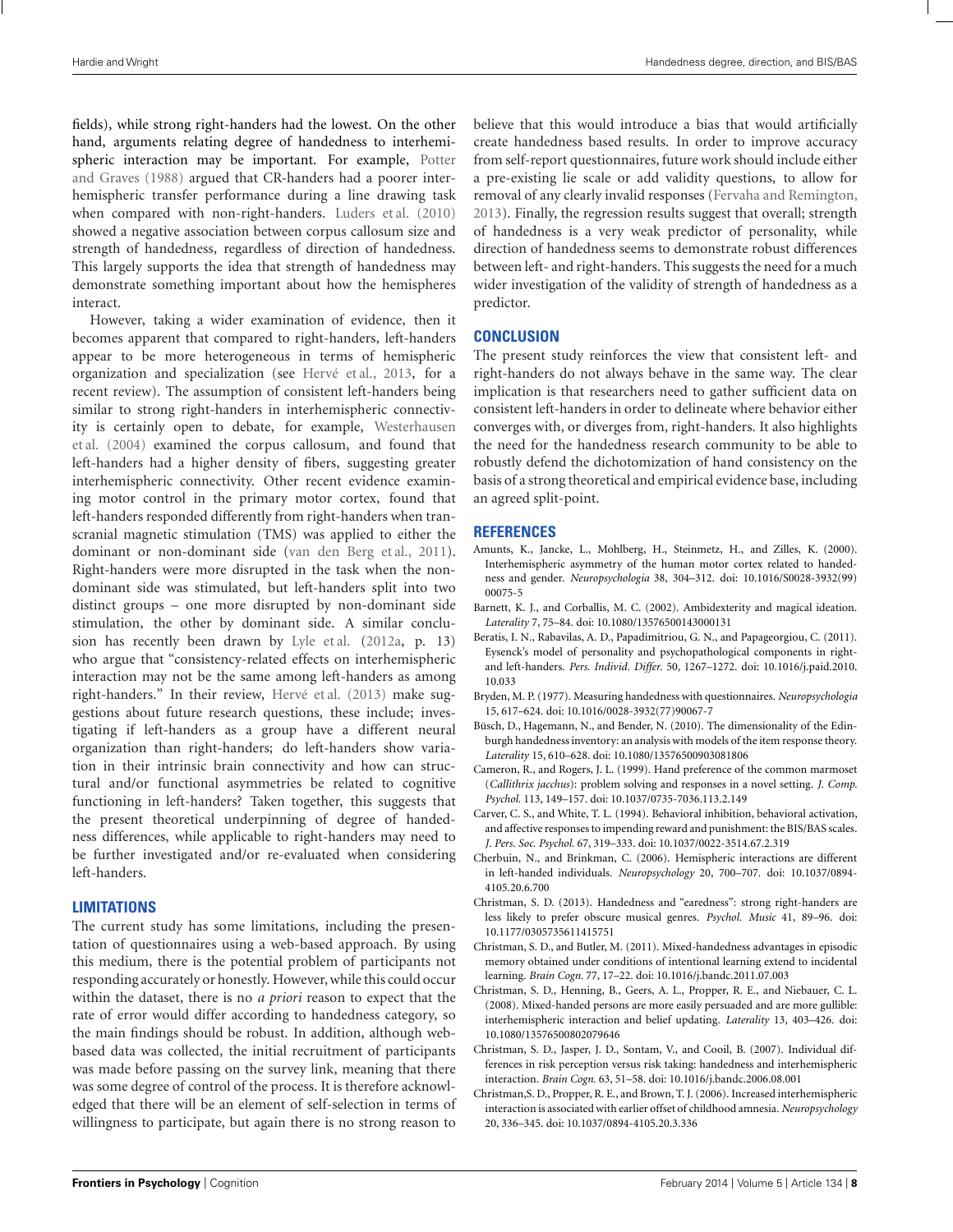<span id="page-7-0"></span>fields), while strong right-handers had the lowest. On the other hand, arguments relating degree of handedness to interhemispheric int[eraction may be important. For example,](#page-9-0) Potter and Graves [\(1988\)](#page-9-0) argued that CR-handers had a poorer interhemispheric transfer performance during a line drawing task when compared with non-right-handers. [Luders et al.](#page-8-0) [\(2010](#page-8-0)) showed a negative association between corpus callosum size and strength of handedness, regardless of direction of handedness. This largely supports the idea that strength of handedness may demonstrate something important about how the hemispheres interact.

However, taking a wider examination of evidence, then it becomes apparent that compared to right-handers, left-handers appear to be more heterogeneous in terms of hemispheric organization and specialization (see [Hervé et al., 2013,](#page-8-0) for a recent review). The assumption of consistent left-handers being similar to strong right-handers in interhemispheric connectivity [is](#page-9-0) [certainly](#page-9-0) [open](#page-9-0) [to](#page-9-0) [debate,](#page-9-0) [for](#page-9-0) [example,](#page-9-0) Westerhausen et al. [\(2004](#page-9-0)) examined the corpus callosum, and found that left-handers had a higher density of fibers, suggesting greater interhemispheric connectivity. Other recent evidence examining motor control in the primary motor cortex, found that left-handers responded differently from right-handers when transcranial magnetic stimulation (TMS) was applied to either the dominant or non-dominant side [\(van den Berg et al.](#page-9-0), [2011](#page-9-0)). Right-handers were more disrupted in the task when the nondominant side was stimulated, but left-handers split into two distinct groups – one more disrupted by non-dominant side stimulation, the other by dominant side. A similar conclusion has recently been drawn by [Lyle et al.](#page-8-0) [\(2012a,](#page-8-0) p. 13) who argue that "consistency-related effects on interhemispheric interaction may not be the same among left-handers as among right-handers." In their review, [Hervé et al.](#page-8-0) [\(2013\)](#page-8-0) make suggestions about future research questions, these include; investigating if left-handers as a group have a different neural organization than right-handers; do left-handers show variation in their intrinsic brain connectivity and how can structural and/or functional asymmetries be related to cognitive functioning in left-handers? Taken together, this suggests that the present theoretical underpinning of degree of handedness differences, while applicable to right-handers may need to be further investigated and/or re-evaluated when considering left-handers.

#### **LIMITATIONS**

The current study has some limitations, including the presentation of questionnaires using a web-based approach. By using this medium, there is the potential problem of participants not responding accurately or honestly. However, while this could occur within the dataset, there is no *a priori* reason to expect that the rate of error would differ according to handedness category, so the main findings should be robust. In addition, although webbased data was collected, the initial recruitment of participants was made before passing on the survey link, meaning that there was some degree of control of the process. It is therefore acknowledged that there will be an element of self-selection in terms of willingness to participate, but again there is no strong reason to believe that this would introduce a bias that would artificially create handedness based results. In order to improve accuracy from self-report questionnaires, future work should include either a pre-existing lie scale or add validity questions, to allow for removal of any clearly invalid responses [\(Fervaha and Remington,](#page-8-0) [2013](#page-8-0)). Finally, the regression results suggest that overall; strength of handedness is a very weak predictor of personality, while direction of handedness seems to demonstrate robust differences between left- and right-handers. This suggests the need for a much wider investigation of the validity of strength of handedness as a predictor.

#### **CONCLUSION**

The present study reinforces the view that consistent left- and right-handers do not always behave in the same way. The clear implication is that researchers need to gather sufficient data on consistent left-handers in order to delineate where behavior either converges with, or diverges from, right-handers. It also highlights the need for the handedness research community to be able to robustly defend the dichotomization of hand consistency on the basis of a strong theoretical and empirical evidence base, including an agreed split-point.

#### **REFERENCES**

- Amunts, K., Jancke, L., Mohlberg, H., Steinmetz, H., and Zilles, K. (2000). Interhemispheric asymmetry of the human motor cortex related to handedness and gender. *Neuropsychologia* 38, 304–312. doi: 10.1016/S0028-3932(99) 00075-5
- Barnett, K. J., and Corballis, M. C. (2002). Ambidexterity and magical ideation. *Laterality* 7, 75–84. doi: 10.1080/13576500143000131
- Beratis, I. N., Rabavilas, A. D., Papadimitriou, G. N., and Papageorgiou, C. (2011). Eysenck's model of personality and psychopathological components in rightand left-handers. *Pers. Individ. Differ.* 50, 1267–1272. doi: 10.1016/j.paid.2010. 10.033
- Bryden, M. P. (1977). Measuring handedness with questionnaires. *Neuropsychologia* 15, 617–624. doi: 10.1016/0028-3932(77)90067-7
- Büsch, D., Hagemann, N., and Bender, N. (2010). The dimensionality of the Edinburgh handedness inventory: an analysis with models of the item response theory. *Laterality* 15, 610–628. doi: 10.1080/13576500903081806
- Cameron, R., and Rogers, J. L. (1999). Hand preference of the common marmoset (*Callithrix jacchus*): problem solving and responses in a novel setting. *J. Comp. Psychol.* 113, 149–157. doi: 10.1037/0735-7036.113.2.149
- Carver, C. S., and White, T. L. (1994). Behavioral inhibition, behavioral activation, and affective responses to impending reward and punishment: the BIS/BAS scales. *J. Pers. Soc. Psychol.* 67, 319–333. doi: 10.1037/0022-3514.67.2.319
- Cherbuin, N., and Brinkman, C. (2006). Hemispheric interactions are different in left-handed individuals. *Neuropsychology* 20, 700–707. doi: 10.1037/0894- 4105.20.6.700
- Christman, S. D. (2013). Handedness and "earedness": strong right-handers are less likely to prefer obscure musical genres. *Psychol. Music* 41, 89–96. doi: 10.1177/0305735611415751
- Christman, S. D., and Butler, M. (2011). Mixed-handedness advantages in episodic memory obtained under conditions of intentional learning extend to incidental learning. *Brain Cogn.* 77, 17–22. doi: 10.1016/j.bandc.2011.07.003
- Christman, S. D., Henning, B., Geers, A. L., Propper, R. E., and Niebauer, C. L. (2008). Mixed-handed persons are more easily persuaded and are more gullible: interhemispheric interaction and belief updating. *Laterality* 13, 403–426. doi: 10.1080/13576500802079646
- Christman, S. D., Jasper, J. D., Sontam, V., and Cooil, B. (2007). Individual differences in risk perception versus risk taking: handedness and interhemispheric interaction. *Brain Cogn.* 63, 51–58. doi: 10.1016/j.bandc.2006.08.001
- Christman,S. D., Propper, R. E., and Brown, T. J. (2006). Increased interhemispheric interaction is associated with earlier offset of childhood amnesia. *Neuropsychology* 20, 336–345. doi: 10.1037/0894-4105.20.3.336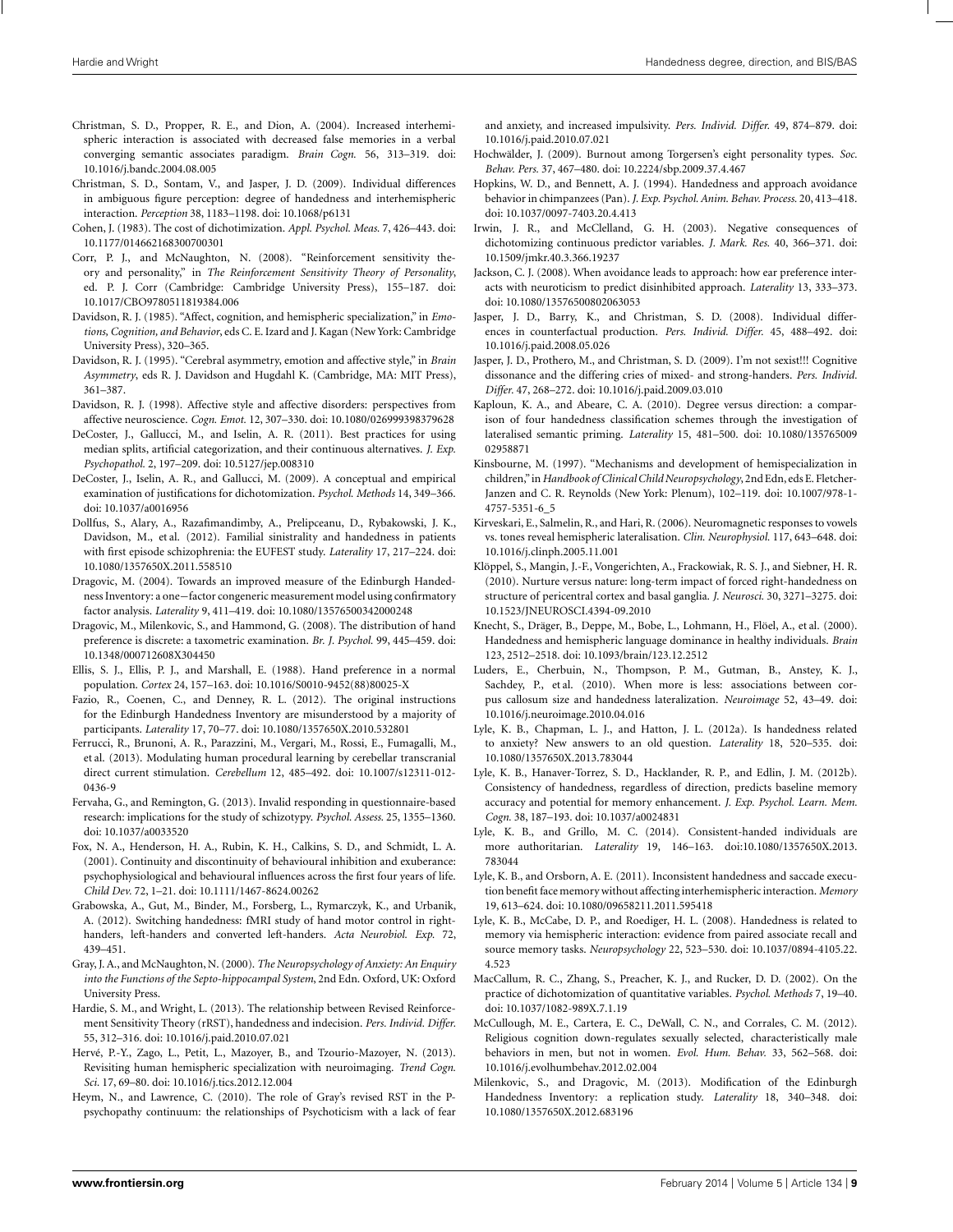- <span id="page-8-0"></span>Christman, S. D., Propper, R. E., and Dion, A. (2004). Increased interhemispheric interaction is associated with decreased false memories in a verbal converging semantic associates paradigm. *Brain Cogn.* 56, 313–319. doi: 10.1016/j.bandc.2004.08.005
- Christman, S. D., Sontam, V., and Jasper, J. D. (2009). Individual differences in ambiguous figure perception: degree of handedness and interhemispheric interaction. *Perception* 38, 1183–1198. doi: 10.1068/p6131
- Cohen, J. (1983). The cost of dichotimization. *Appl. Psychol. Meas.* 7, 426–443. doi: 10.1177/014662168300700301
- Corr, P. J., and McNaughton, N. (2008). "Reinforcement sensitivity theory and personality," in *The Reinforcement Sensitivity Theory of Personality*, ed. P. J. Corr (Cambridge: Cambridge University Press), 155–187. doi: 10.1017/CBO9780511819384.006
- Davidson, R. J. (1985). "Affect, cognition, and hemispheric specialization," in *Emotions, Cognition, and Behavior*, eds C. E. Izard and J. Kagan (New York: Cambridge University Press), 320–365.
- Davidson, R. J. (1995). "Cerebral asymmetry, emotion and affective style," in *Brain Asymmetry*, eds R. J. Davidson and Hugdahl K. (Cambridge, MA: MIT Press), 361–387.
- Davidson, R. J. (1998). Affective style and affective disorders: perspectives from affective neuroscience. *Cogn. Emot.* 12, 307–330. doi: 10.1080/026999398379628
- DeCoster, J., Gallucci, M., and Iselin, A. R. (2011). Best practices for using median splits, artificial categorization, and their continuous alternatives. *J. Exp. Psychopathol.* 2, 197–209. doi: 10.5127/jep.008310
- DeCoster, J., Iselin, A. R., and Gallucci, M. (2009). A conceptual and empirical examination of justifications for dichotomization. *Psychol. Methods* 14, 349–366. doi: 10.1037/a0016956
- Dollfus, S., Alary, A., Razafimandimby, A., Prelipceanu, D., Rybakowski, J. K., Davidson, M., et al. (2012). Familial sinistrality and handedness in patients with first episode schizophrenia: the EUFEST study. *Laterality* 17, 217–224. doi: 10.1080/1357650X.2011.558510
- Dragovic, M. (2004). Towards an improved measure of the Edinburgh Handedness Inventory: a one−factor congeneric measurement model using confirmatory factor analysis. *Laterality* 9, 411–419. doi: 10.1080/13576500342000248
- Dragovic, M., Milenkovic, S., and Hammond, G. (2008). The distribution of hand preference is discrete: a taxometric examination. *Br. J. Psychol.* 99, 445–459. doi: 10.1348/000712608X304450
- Ellis, S. J., Ellis, P. J., and Marshall, E. (1988). Hand preference in a normal population. *Cortex* 24, 157–163. doi: 10.1016/S0010-9452(88)80025-X
- Fazio, R., Coenen, C., and Denney, R. L. (2012). The original instructions for the Edinburgh Handedness Inventory are misunderstood by a majority of participants. *Laterality* 17, 70–77. doi: 10.1080/1357650X.2010.532801
- Ferrucci, R., Brunoni, A. R., Parazzini, M., Vergari, M., Rossi, E., Fumagalli, M., et al. (2013). Modulating human procedural learning by cerebellar transcranial direct current stimulation. *Cerebellum* 12, 485–492. doi: 10.1007/s12311-012- 0436-9
- Fervaha, G., and Remington, G. (2013). Invalid responding in questionnaire-based research: implications for the study of schizotypy. *Psychol. Assess.* 25, 1355–1360. doi: 10.1037/a0033520
- Fox, N. A., Henderson, H. A., Rubin, K. H., Calkins, S. D., and Schmidt, L. A. (2001). Continuity and discontinuity of behavioural inhibition and exuberance: psychophysiological and behavioural influences across the first four years of life. *Child Dev.* 72, 1–21. doi: 10.1111/1467-8624.00262
- Grabowska, A., Gut, M., Binder, M., Forsberg, L., Rymarczyk, K., and Urbanik, A. (2012). Switching handedness: fMRI study of hand motor control in righthanders, left-handers and converted left-handers. *Acta Neurobiol. Exp.* 72, 439–451.
- Gray, J. A., and McNaughton, N. (2000). *The Neuropsychology of Anxiety: An Enquiry into the Functions of the Septo-hippocampal System*, 2nd Edn. Oxford, UK: Oxford University Press.
- Hardie, S. M., and Wright, L. (2013). The relationship between Revised Reinforcement Sensitivity Theory (rRST), handedness and indecision. *Pers. Individ. Differ.* 55, 312–316. doi: 10.1016/j.paid.2010.07.021
- Hervé, P.-Y., Zago, L., Petit, L., Mazoyer, B., and Tzourio-Mazoyer, N. (2013). Revisiting human hemispheric specialization with neuroimaging. *Trend Cogn. Sci.* 17, 69–80. doi: 10.1016/j.tics.2012.12.004
- Heym, N., and Lawrence, C. (2010). The role of Gray's revised RST in the Ppsychopathy continuum: the relationships of Psychoticism with a lack of fear

and anxiety, and increased impulsivity. *Pers. Individ. Differ.* 49, 874–879. doi: 10.1016/j.paid.2010.07.021

- Hochwälder, J. (2009). Burnout among Torgersen's eight personality types. *Soc. Behav. Pers.* 37, 467–480. doi: 10.2224/sbp.2009.37.4.467
- Hopkins, W. D., and Bennett, A. J. (1994). Handedness and approach avoidance behavior in chimpanzees (Pan). *J. Exp. Psychol. Anim. Behav. Process.* 20, 413–418. doi: 10.1037/0097-7403.20.4.413
- Irwin, J. R., and McClelland, G. H. (2003). Negative consequences of dichotomizing continuous predictor variables. *J. Mark. Res.* 40, 366–371. doi: 10.1509/jmkr.40.3.366.19237
- Jackson, C. J. (2008). When avoidance leads to approach: how ear preference interacts with neuroticism to predict disinhibited approach. *Laterality* 13, 333–373. doi: 10.1080/13576500802063053
- Jasper, J. D., Barry, K., and Christman, S. D. (2008). Individual differences in counterfactual production. *Pers. Individ. Differ.* 45, 488–492. doi: 10.1016/j.paid.2008.05.026
- Jasper, J. D., Prothero, M., and Christman, S. D. (2009). I'm not sexist!!! Cognitive dissonance and the differing cries of mixed- and strong-handers. *Pers. Individ. Differ.* 47, 268–272. doi: 10.1016/j.paid.2009.03.010
- Kaploun, K. A., and Abeare, C. A. (2010). Degree versus direction: a comparison of four handedness classification schemes through the investigation of lateralised semantic priming. *Laterality* 15, 481–500. doi: 10.1080/135765009 02958871
- Kinsbourne, M. (1997). "Mechanisms and development of hemispecialization in children,"in*Handbook of Clinical Child Neuropsychology*, 2nd Edn, eds E. Fletcher-Janzen and C. R. Reynolds (New York: Plenum), 102–119. doi: 10.1007/978-1- 4757-5351-6\_5
- Kirveskari, E., Salmelin, R., and Hari, R. (2006). Neuromagnetic responses to vowels vs. tones reveal hemispheric lateralisation. *Clin. Neurophysiol.* 117, 643–648. doi: 10.1016/j.clinph.2005.11.001
- Klöppel, S., Mangin, J.-F., Vongerichten, A., Frackowiak, R. S. J., and Siebner, H. R. (2010). Nurture versus nature: long-term impact of forced right-handedness on structure of pericentral cortex and basal ganglia. *J. Neurosci.* 30, 3271–3275. doi: 10.1523/JNEUROSCI.4394-09.2010
- Knecht, S., Dräger, B., Deppe, M., Bobe, L., Lohmann, H., Flöel, A., et al. (2000). Handedness and hemispheric language dominance in healthy individuals. *Brain* 123, 2512–2518. doi: 10.1093/brain/123.12.2512
- Luders, E., Cherbuin, N., Thompson, P. M., Gutman, B., Anstey, K. J., Sachdey, P., et al. (2010). When more is less: associations between corpus callosum size and handedness lateralization. *Neuroimage* 52, 43–49. doi: 10.1016/j.neuroimage.2010.04.016
- Lyle, K. B., Chapman, L. J., and Hatton, J. L. (2012a). Is handedness related to anxiety? New answers to an old question. *Laterality* 18, 520–535. doi: 10.1080/1357650X.2013.783044
- Lyle, K. B., Hanaver-Torrez, S. D., Hacklander, R. P., and Edlin, J. M. (2012b). Consistency of handedness, regardless of direction, predicts baseline memory accuracy and potential for memory enhancement. *J. Exp. Psychol. Learn. Mem. Cogn.* 38, 187–193. doi: 10.1037/a0024831
- Lyle, K. B., and Grillo, M. C. (2014). Consistent-handed individuals are more authoritarian. *Laterality* 19, 146–163. doi:10.1080/1357650X.2013. 783044
- Lyle, K. B., and Orsborn, A. E. (2011). Inconsistent handedness and saccade execution benefit face memory without affecting interhemispheric interaction. *Memory* 19, 613–624. doi: 10.1080/09658211.2011.595418
- Lyle, K. B., McCabe, D. P., and Roediger, H. L. (2008). Handedness is related to memory via hemispheric interaction: evidence from paired associate recall and source memory tasks. *Neuropsychology* 22, 523–530. doi: 10.1037/0894-4105.22. 4.523
- MacCallum, R. C., Zhang, S., Preacher, K. J., and Rucker, D. D. (2002). On the practice of dichotomization of quantitative variables. *Psychol. Methods* 7, 19–40. doi: 10.1037/1082-989X.7.1.19
- McCullough, M. E., Cartera, E. C., DeWall, C. N., and Corrales, C. M. (2012). Religious cognition down-regulates sexually selected, characteristically male behaviors in men, but not in women. *Evol. Hum. Behav.* 33, 562–568. doi: 10.1016/j.evolhumbehav.2012.02.004
- Milenkovic, S., and Dragovic, M. (2013). Modification of the Edinburgh Handedness Inventory: a replication study. *Laterality* 18, 340–348. doi: 10.1080/1357650X.2012.683196